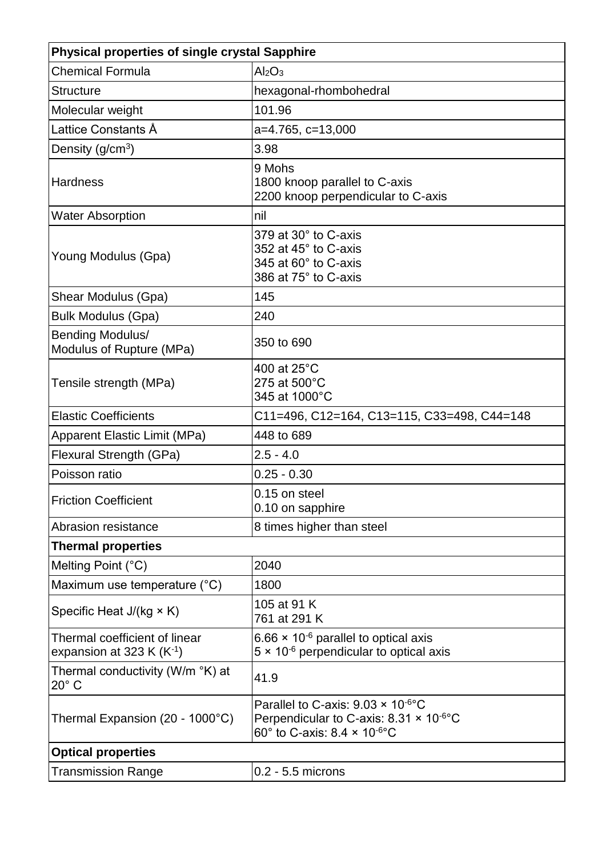| <b>Physical properties of single crystal Sapphire</b>      |                                                                                                                                                                    |  |  |  |  |
|------------------------------------------------------------|--------------------------------------------------------------------------------------------------------------------------------------------------------------------|--|--|--|--|
| <b>Chemical Formula</b>                                    | Al <sub>2</sub> O <sub>3</sub>                                                                                                                                     |  |  |  |  |
| <b>Structure</b>                                           | hexagonal-rhombohedral                                                                                                                                             |  |  |  |  |
| Molecular weight                                           | 101.96                                                                                                                                                             |  |  |  |  |
| Lattice Constants Å                                        | $a=4.765$ , $c=13,000$                                                                                                                                             |  |  |  |  |
| Density $(g/cm3)$                                          | 3.98                                                                                                                                                               |  |  |  |  |
| <b>Hardness</b>                                            | 9 Mohs<br>1800 knoop parallel to C-axis<br>2200 knoop perpendicular to C-axis                                                                                      |  |  |  |  |
| <b>Water Absorption</b>                                    | nil                                                                                                                                                                |  |  |  |  |
| Young Modulus (Gpa)                                        | 379 at 30° to C-axis<br>352 at 45° to C-axis<br>345 at 60° to C-axis<br>386 at 75° to C-axis                                                                       |  |  |  |  |
| Shear Modulus (Gpa)                                        | 145                                                                                                                                                                |  |  |  |  |
| <b>Bulk Modulus (Gpa)</b>                                  | 240                                                                                                                                                                |  |  |  |  |
| Bending Modulus/<br>Modulus of Rupture (MPa)               | 350 to 690                                                                                                                                                         |  |  |  |  |
| Tensile strength (MPa)                                     | 400 at 25°C<br>275 at 500°C<br>345 at 1000°C                                                                                                                       |  |  |  |  |
| <b>Elastic Coefficients</b>                                | C11=496, C12=164, C13=115, C33=498, C44=148                                                                                                                        |  |  |  |  |
| <b>Apparent Elastic Limit (MPa)</b>                        | 448 to 689                                                                                                                                                         |  |  |  |  |
| Flexural Strength (GPa)                                    | $2.5 - 4.0$                                                                                                                                                        |  |  |  |  |
| Poisson ratio                                              | $0.25 - 0.30$                                                                                                                                                      |  |  |  |  |
| <b>Friction Coefficient</b>                                | 0.15 on steel<br>0.10 on sapphire                                                                                                                                  |  |  |  |  |
| Abrasion resistance                                        | 8 times higher than steel                                                                                                                                          |  |  |  |  |
| <b>Thermal properties</b>                                  |                                                                                                                                                                    |  |  |  |  |
| Melting Point (°C)                                         | 2040                                                                                                                                                               |  |  |  |  |
| Maximum use temperature (°C)                               | 1800                                                                                                                                                               |  |  |  |  |
| Specific Heat J/(kg × K)                                   | 105 at 91 K<br>761 at 291 K                                                                                                                                        |  |  |  |  |
| Thermal coefficient of linear<br>expansion at 323 K $(K1)$ | 6.66 $\times$ 10 <sup>-6</sup> parallel to optical axis<br>$5 \times 10^{-6}$ perpendicular to optical axis                                                        |  |  |  |  |
| Thermal conductivity (W/m °K) at<br>$20^\circ$ C           | 41.9                                                                                                                                                               |  |  |  |  |
| Thermal Expansion (20 - 1000°C)                            | Parallel to C-axis: $9.03 \times 10^{-6}$ °C<br>Perpendicular to C-axis: $8.31 \times 10^{-6}$ °C<br>60 $\degree$ to C-axis: 8.4 $\times$ 10 $\degree$ $\degree$ C |  |  |  |  |
| <b>Optical properties</b>                                  |                                                                                                                                                                    |  |  |  |  |
| <b>Transmission Range</b>                                  | $0.2 - 5.5$ microns                                                                                                                                                |  |  |  |  |